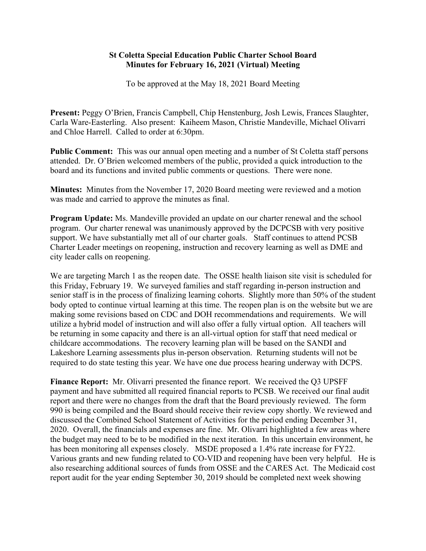## **St Coletta Special Education Public Charter School Board Minutes for February 16, 2021 (Virtual) Meeting**

To be approved at the May 18, 2021 Board Meeting

**Present:** Peggy O'Brien, Francis Campbell, Chip Henstenburg, Josh Lewis, Frances Slaughter, Carla Ware-Easterling. Also present: Kaiheem Mason, Christie Mandeville, Michael Olivarri and Chloe Harrell. Called to order at 6:30pm.

**Public Comment:** This was our annual open meeting and a number of St Coletta staff persons attended. Dr. O'Brien welcomed members of the public, provided a quick introduction to the board and its functions and invited public comments or questions. There were none.

**Minutes:** Minutes from the November 17, 2020 Board meeting were reviewed and a motion was made and carried to approve the minutes as final.

**Program Update:** Ms. Mandeville provided an update on our charter renewal and the school program. Our charter renewal was unanimously approved by the DCPCSB with very positive support. We have substantially met all of our charter goals. Staff continues to attend PCSB Charter Leader meetings on reopening, instruction and recovery learning as well as DME and city leader calls on reopening.

We are targeting March 1 as the reopen date. The OSSE health liaison site visit is scheduled for this Friday, February 19. We surveyed families and staff regarding in-person instruction and senior staff is in the process of finalizing learning cohorts. Slightly more than 50% of the student body opted to continue virtual learning at this time. The reopen plan is on the website but we are making some revisions based on CDC and DOH recommendations and requirements. We will utilize a hybrid model of instruction and will also offer a fully virtual option. All teachers will be returning in some capacity and there is an all-virtual option for staff that need medical or childcare accommodations. The recovery learning plan will be based on the SANDI and Lakeshore Learning assessments plus in-person observation. Returning students will not be required to do state testing this year. We have one due process hearing underway with DCPS.

**Finance Report:** Mr. Olivarri presented the finance report. We received the Q3 UPSFF payment and have submitted all required financial reports to PCSB. We received our final audit report and there were no changes from the draft that the Board previously reviewed. The form 990 is being compiled and the Board should receive their review copy shortly. We reviewed and discussed the Combined School Statement of Activities for the period ending December 31, 2020. Overall, the financials and expenses are fine. Mr. Olivarri highlighted a few areas where the budget may need to be to be modified in the next iteration. In this uncertain environment, he has been monitoring all expenses closely. MSDE proposed a 1.4% rate increase for FY22. Various grants and new funding related to CO-VID and reopening have been very helpful. He is also researching additional sources of funds from OSSE and the CARES Act. The Medicaid cost report audit for the year ending September 30, 2019 should be completed next week showing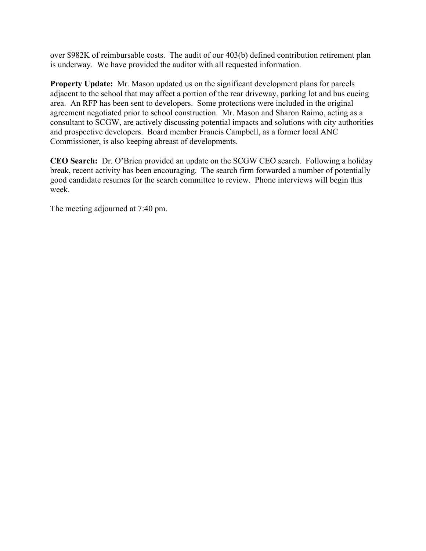over \$982K of reimbursable costs. The audit of our 403(b) defined contribution retirement plan is underway. We have provided the auditor with all requested information.

**Property Update:** Mr. Mason updated us on the significant development plans for parcels adjacent to the school that may affect a portion of the rear driveway, parking lot and bus cueing area. An RFP has been sent to developers. Some protections were included in the original agreement negotiated prior to school construction. Mr. Mason and Sharon Raimo, acting as a consultant to SCGW, are actively discussing potential impacts and solutions with city authorities and prospective developers. Board member Francis Campbell, as a former local ANC Commissioner, is also keeping abreast of developments.

**CEO Search:** Dr. O'Brien provided an update on the SCGW CEO search. Following a holiday break, recent activity has been encouraging. The search firm forwarded a number of potentially good candidate resumes for the search committee to review. Phone interviews will begin this week.

The meeting adjourned at 7:40 pm.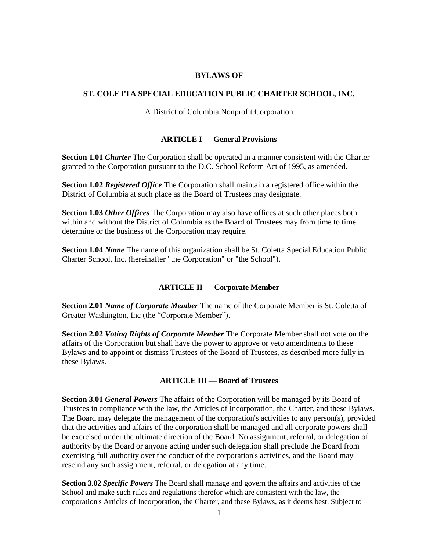## **BYLAWS OF**

# **ST. COLETTA SPECIAL EDUCATION PUBLIC CHARTER SCHOOL, INC.**

A District of Columbia Nonprofit Corporation

## **ARTICLE I — General Provisions**

**Section 1.01** *Charter* The Corporation shall be operated in a manner consistent with the Charter granted to the Corporation pursuant to the D.C. School Reform Act of 1995, as amended.

**Section 1.02** *Registered Office* The Corporation shall maintain a registered office within the District of Columbia at such place as the Board of Trustees may designate.

**Section 1.03** *Other Offices* The Corporation may also have offices at such other places both within and without the District of Columbia as the Board of Trustees may from time to time determine or the business of the Corporation may require.

**Section 1.04** *Name* The name of this organization shall be St. Coletta Special Education Public Charter School, Inc. (hereinafter "the Corporation" or "the School").

### **ARTICLE II — Corporate Member**

**Section 2.01** *Name of Corporate Member* The name of the Corporate Member is St. Coletta of Greater Washington, Inc (the "Corporate Member").

**Section 2.02** *Voting Rights of Corporate Member* The Corporate Member shall not vote on the affairs of the Corporation but shall have the power to approve or veto amendments to these Bylaws and to appoint or dismiss Trustees of the Board of Trustees, as described more fully in these Bylaws.

## **ARTICLE III — Board of Trustees**

**Section 3.01** *General Powers* The affairs of the Corporation will be managed by its Board of Trustees in compliance with the law, the Articles of Incorporation, the Charter, and these Bylaws. The Board may delegate the management of the corporation's activities to any person(s), provided that the activities and affairs of the corporation shall be managed and all corporate powers shall be exercised under the ultimate direction of the Board. No assignment, referral, or delegation of authority by the Board or anyone acting under such delegation shall preclude the Board from exercising full authority over the conduct of the corporation's activities, and the Board may rescind any such assignment, referral, or delegation at any time.

**Section 3.02** *Specific Powers* The Board shall manage and govern the affairs and activities of the School and make such rules and regulations therefor which are consistent with the law, the corporation's Articles of Incorporation, the Charter, and these Bylaws, as it deems best. Subject to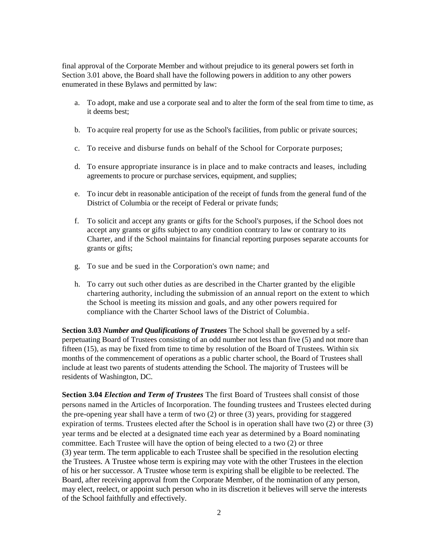final approval of the Corporate Member and without prejudice to its general powers set forth in Section 3.01 above, the Board shall have the following powers in addition to any other powers enumerated in these Bylaws and permitted by law:

- a. To adopt, make and use a corporate seal and to alter the form of the seal from time to time, as it deems best;
- b. To acquire real property for use as the School's facilities, from public or private sources;
- c. To receive and disburse funds on behalf of the School for Corporate purposes;
- d. To ensure appropriate insurance is in place and to make contracts and leases, including agreements to procure or purchase services, equipment, and supplies;
- e. To incur debt in reasonable anticipation of the receipt of funds from the general fund of the District of Columbia or the receipt of Federal or private funds;
- f. To solicit and accept any grants or gifts for the School's purposes, if the School does not accept any grants or gifts subject to any condition contrary to law or contrary to its Charter, and if the School maintains for financial reporting purposes separate accounts for grants or gifts;
- g. To sue and be sued in the Corporation's own name; and
- h. To carry out such other duties as are described in the Charter granted by the eligible chartering authority, including the submission of an annual report on the extent to which the School is meeting its mission and goals, and any other powers required for compliance with the Charter School laws of the District of Columbia.

**Section 3.03** *Number and Qualifications of Trustees* The School shall be governed by a selfperpetuating Board of Trustees consisting of an odd number not less than five (5) and not more than fifteen (15), as may be fixed from time to time by resolution of the Board of Trustees. Within six months of the commencement of operations as a public charter school, the Board of Trustees shall include at least two parents of students attending the School. The majority of Trustees will be residents of Washington, DC.

**Section 3.04** *Election and Term of Trustees* The first Board of Trustees shall consist of those persons named in the Articles of Incorporation. The founding trustees and Trustees elected during the pre-opening year shall have a term of two (2) or three (3) years, providing for staggered expiration of terms. Trustees elected after the School is in operation shall have two (2) or three (3) year terms and be elected at a designated time each year as determined by a Board nominating committee. Each Trustee will have the option of being elected to a two (2) or three (3) year term. The term applicable to each Trustee shall be specified in the resolution electing the Trustees. A Trustee whose term is expiring may vote with the other Trustees in the election of his or her successor. A Trustee whose term is expiring shall be eligible to be reelected. The Board, after receiving approval from the Corporate Member, of the nomination of any person, may elect, reelect, or appoint such person who in its discretion it believes will serve the interests of the School faithfully and effectively.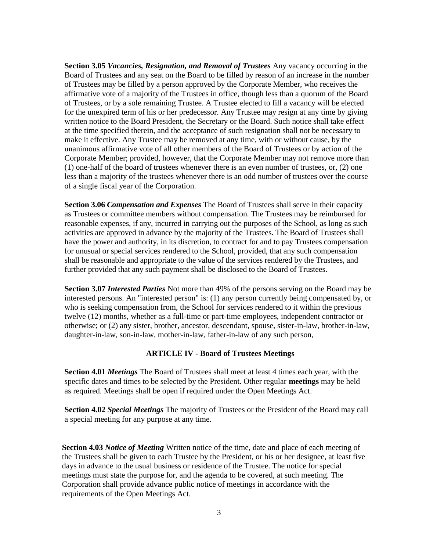**Section 3.05** *Vacancies, Resignation, and Removal of Trustees* Any vacancy occurring in the Board of Trustees and any seat on the Board to be filled by reason of an increase in the number of Trustees may be filled by a person approved by the Corporate Member, who receives the affirmative vote of a majority of the Trustees in office, though less than a quorum of the Board of Trustees, or by a sole remaining Trustee. A Trustee elected to fill a vacancy will be elected for the unexpired term of his or her predecessor. Any Trustee may resign at any time by giving written notice to the Board President, the Secretary or the Board. Such notice shall take effect at the time specified therein, and the acceptance of such resignation shall not be necessary to make it effective. Any Trustee may be removed at any time, with or without cause, by the unanimous affirmative vote of all other members of the Board of Trustees or by action of the Corporate Member; provided, however, that the Corporate Member may not remove more than (1) one-half of the board of trustees whenever there is an even number of trustees, or, (2) one less than a majority of the trustees whenever there is an odd number of trustees over the course of a single fiscal year of the Corporation.

**Section 3.06** *Compensation and Expenses* The Board of Trustees shall serve in their capacity as Trustees or committee members without compensation. The Trustees may be reimbursed for reasonable expenses, if any, incurred in carrying out the purposes of the School, as long as such activities are approved in advance by the majority of the Trustees. The Board of Trustees shall have the power and authority, in its discretion, to contract for and to pay Trustees compensation for unusual or special services rendered to the School, provided, that any such compensation shall be reasonable and appropriate to the value of the services rendered by the Trustees, and further provided that any such payment shall be disclosed to the Board of Trustees.

**Section 3.07** *Interested Parties* Not more than 49% of the persons serving on the Board may be interested persons. An "interested person" is: (1) any person currently being compensated by, or who is seeking compensation from, the School for services rendered to it within the previous twelve (12) months, whether as a full-time or part-time employees, independent contractor or otherwise; or (2) any sister, brother, ancestor, descendant, spouse, sister-in-law, brother-in-law, daughter-in-law, son-in-law, mother-in-law, father-in-law of any such person,

## **ARTICLE IV - Board of Trustees Meetings**

**Section 4.01** *Meetings* The Board of Trustees shall meet at least 4 times each year, with the specific dates and times to be selected by the President. Other regular **meetings** may be held as required. Meetings shall be open if required under the Open Meetings Act.

**Section 4.02** *Special Meetings* The majority of Trustees or the President of the Board may call a special meeting for any purpose at any time.

**Section 4.03** *Notice of Meeting* Written notice of the time, date and place of each meeting of the Trustees shall be given to each Trustee by the President, or his or her designee, at least five days in advance to the usual business or residence of the Trustee. The notice for special meetings must state the purpose for, and the agenda to be covered, at such meeting. The Corporation shall provide advance public notice of meetings in accordance with the requirements of the Open Meetings Act.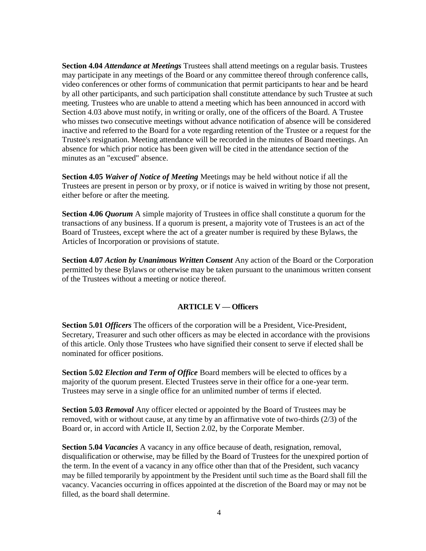**Section 4.04** *Attendance at Meetings* Trustees shall attend meetings on a regular basis. Trustees may participate in any meetings of the Board or any committee thereof through conference calls, video conferences or other forms of communication that permit participants to hear and be heard by all other participants, and such participation shall constitute attendance by such Trustee at such meeting. Trustees who are unable to attend a meeting which has been announced in accord with Section 4.03 above must notify, in writing or orally, one of the officers of the Board. A Trustee who misses two consecutive meetings without advance notification of absence will be considered inactive and referred to the Board for a vote regarding retention of the Trustee or a request for the Trustee's resignation. Meeting attendance will be recorded in the minutes of Board meetings. An absence for which prior notice has been given will be cited in the attendance section of the minutes as an "excused" absence.

**Section 4.05** *Waiver of Notice of Meeting* Meetings may be held without notice if all the Trustees are present in person or by proxy, or if notice is waived in writing by those not present, either before or after the meeting.

**Section 4.06** *Quorum* A simple majority of Trustees in office shall constitute a quorum for the transactions of any business. If a quorum is present, a majority vote of Trustees is an act of the Board of Trustees, except where the act of a greater number is required by these Bylaws, the Articles of Incorporation or provisions of statute.

**Section 4.07** *Action by Unanimous Written Consent* Any action of the Board or the Corporation permitted by these Bylaws or otherwise may be taken pursuant to the unanimous written consent of the Trustees without a meeting or notice thereof.

#### **ARTICLE V — Officers**

**Section 5.01** *Officers* The officers of the corporation will be a President, Vice-President, Secretary, Treasurer and such other officers as may be elected in accordance with the provisions of this article. Only those Trustees who have signified their consent to serve if elected shall be nominated for officer positions.

**Section 5.02** *Election and Term of Office* Board members will be elected to offices by a majority of the quorum present. Elected Trustees serve in their office for a one-year term. Trustees may serve in a single office for an unlimited number of terms if elected.

**Section 5.03** *Removal* Any officer elected or appointed by the Board of Trustees may be removed, with or without cause, at any time by an affirmative vote of two-thirds (2/3) of the Board or, in accord with Article II, Section 2.02, by the Corporate Member.

**Section 5.04** *Vacancies* A vacancy in any office because of death, resignation, removal, disqualification or otherwise, may be filled by the Board of Trustees for the unexpired portion of the term. In the event of a vacancy in any office other than that of the President, such vacancy may be filled temporarily by appointment by the President until such time as the Board shall fill the vacancy. Vacancies occurring in offices appointed at the discretion of the Board may or may not be filled, as the board shall determine.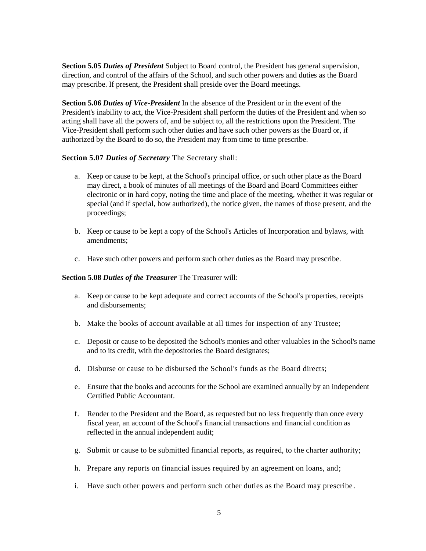**Section 5.05** *Duties of President* Subject to Board control, the President has general supervision, direction, and control of the affairs of the School, and such other powers and duties as the Board may prescribe. If present, the President shall preside over the Board meetings.

**Section 5.06** *Duties of Vice-President* In the absence of the President or in the event of the President's inability to act, the Vice-President shall perform the duties of the President and when so acting shall have all the powers of, and be subject to, all the restrictions upon the President. The Vice-President shall perform such other duties and have such other powers as the Board or, if authorized by the Board to do so, the President may from time to time prescribe.

### **Section 5.07** *Duties of Secretary* The Secretary shall:

- a. Keep or cause to be kept, at the School's principal office, or such other place as the Board may direct, a book of minutes of all meetings of the Board and Board Committees either electronic or in hard copy, noting the time and place of the meeting, whether it was regular or special (and if special, how authorized), the notice given, the names of those present, and the proceedings;
- b. Keep or cause to be kept a copy of the School's Articles of Incorporation and bylaws, with amendments;
- c. Have such other powers and perform such other duties as the Board may prescribe.

#### **Section 5.08** *Duties of the Treasurer* The Treasurer will:

- a. Keep or cause to be kept adequate and correct accounts of the School's properties, receipts and disbursements;
- b. Make the books of account available at all times for inspection of any Trustee;
- c. Deposit or cause to be deposited the School's monies and other valuables in the School's name and to its credit, with the depositories the Board designates;
- d. Disburse or cause to be disbursed the School's funds as the Board directs;
- e. Ensure that the books and accounts for the School are examined annually by an independent Certified Public Accountant.
- f. Render to the President and the Board, as requested but no less frequently than once every fiscal year, an account of the School's financial transactions and financial condition as reflected in the annual independent audit;
- g. Submit or cause to be submitted financial reports, as required, to the charter authority;
- h. Prepare any reports on financial issues required by an agreement on loans, and;
- i. Have such other powers and perform such other duties as the Board may prescribe.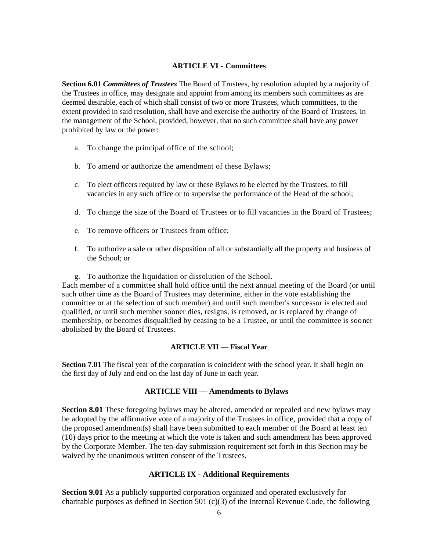### **ARTICLE VI - Committees**

**Section 6.01** *Committees of Trustees* The Board of Trustees, by resolution adopted by a majority of the Trustees in office, may designate and appoint from among its members such committees as are deemed desirable, each of which shall consist of two or more Trustees, which committees, to the extent provided in said resolution, shall have and exercise the authority of the Board of Trustees, in the management of the School, provided, however, that no such committee shall have any power prohibited by law or the power:

- a. To change the principal office of the school;
- b. To amend or authorize the amendment of these Bylaws;
- c. To elect officers required by law or these Bylaws to be elected by the Trustees, to fill vacancies in any such office or to supervise the performance of the Head of the school;
- d. To change the size of the Board of Trustees or to fill vacancies in the Board of Trustees;
- e. To remove officers or Trustees from office;
- f. To authorize a sale or other disposition of all or substantially all the property and business of the School; or

g. To authorize the liquidation or dissolution of the School. Each member of a committee shall hold office until the next annual meeting of the Board (or until such other time as the Board of Trustees may determine, either in the vote establishing the committee or at the selection of such member) and until such member's successor is elected and qualified, or until such member sooner dies, resigns, is removed, or is replaced by change of membership, or becomes disqualified by ceasing to be a Trustee, or until the committee is sooner abolished by the Board of Trustees.

#### **ARTICLE VII — Fiscal Year**

**Section 7.01** The fiscal year of the corporation is coincident with the school year. It shall begin on the first day of July and end on the last day of June in each year.

## **ARTICLE VIII — Amendments to Bylaws**

**Section 8.01** These foregoing bylaws may be altered, amended or repealed and new bylaws may be adopted by the affirmative vote of a majority of the Trustees in office, provided that a copy of the proposed amendment(s) shall have been submitted to each member of the Board at least ten (10) days prior to the meeting at which the vote is taken and such amendment has been approved by the Corporate Member. The ten-day submission requirement set forth in this Section may be waived by the unanimous written consent of the Trustees.

## **ARTICLE IX - Additional Requirements**

**Section 9.01** As a publicly supported corporation organized and operated exclusively for charitable purposes as defined in Section 501 (c)(3) of the Internal Revenue Code, the following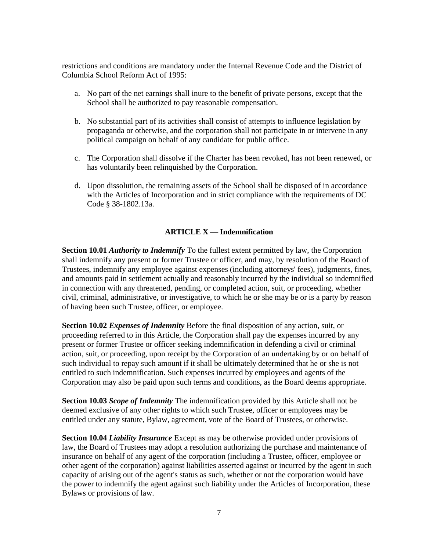restrictions and conditions are mandatory under the Internal Revenue Code and the District of Columbia School Reform Act of 1995:

- a. No part of the net earnings shall inure to the benefit of private persons, except that the School shall be authorized to pay reasonable compensation.
- b. No substantial part of its activities shall consist of attempts to influence legislation by propaganda or otherwise, and the corporation shall not participate in or intervene in any political campaign on behalf of any candidate for public office.
- c. The Corporation shall dissolve if the Charter has been revoked, has not been renewed, or has voluntarily been relinquished by the Corporation.
- d. Upon dissolution, the remaining assets of the School shall be disposed of in accordance with the Articles of Incorporation and in strict compliance with the requirements of DC Code § 38-1802.13a.

## **ARTICLE X — Indemnification**

**Section 10.01** *Authority to Indemnify* To the fullest extent permitted by law, the Corporation shall indemnify any present or former Trustee or officer, and may, by resolution of the Board of Trustees, indemnify any employee against expenses (including attorneys' fees), judgments, fines, and amounts paid in settlement actually and reasonably incurred by the individual so indemnified in connection with any threatened, pending, or completed action, suit, or proceeding, whether civil, criminal, administrative, or investigative, to which he or she may be or is a party by reason of having been such Trustee, officer, or employee.

**Section 10.02** *Expenses of Indemnity* Before the final disposition of any action, suit, or proceeding referred to in this Article, the Corporation shall pay the expenses incurred by any present or former Trustee or officer seeking indemnification in defending a civil or criminal action, suit, or proceeding, upon receipt by the Corporation of an undertaking by or on behalf of such individual to repay such amount if it shall be ultimately determined that he or she is not entitled to such indemnification. Such expenses incurred by employees and agents of the Corporation may also be paid upon such terms and conditions, as the Board deems appropriate.

**Section 10.03** *Scope of Indemnity* The indemnification provided by this Article shall not be deemed exclusive of any other rights to which such Trustee, officer or employees may be entitled under any statute, Bylaw, agreement, vote of the Board of Trustees, or otherwise.

**Section 10.04** *Liability Insurance* Except as may be otherwise provided under provisions of law, the Board of Trustees may adopt a resolution authorizing the purchase and maintenance of insurance on behalf of any agent of the corporation (including a Trustee, officer, employee or other agent of the corporation) against liabilities asserted against or incurred by the agent in such capacity of arising out of the agent's status as such, whether or not the corporation would have the power to indemnify the agent against such liability under the Articles of Incorporation, these Bylaws or provisions of law.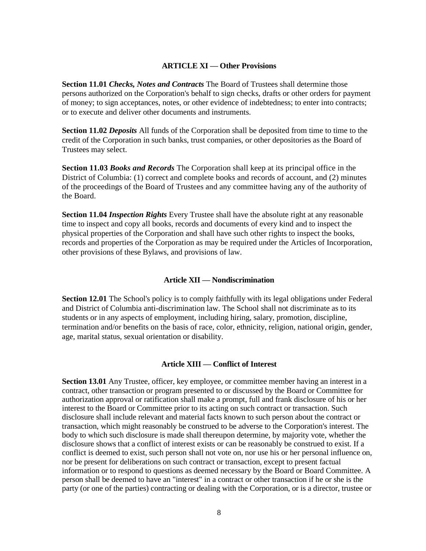### **ARTICLE XI — Other Provisions**

**Section 11.01** *Checks, Notes and Contracts* The Board of Trustees shall determine those persons authorized on the Corporation's behalf to sign checks, drafts or other orders for payment of money; to sign acceptances, notes, or other evidence of indebtedness; to enter into contracts; or to execute and deliver other documents and instruments.

**Section 11.02** *Deposits* All funds of the Corporation shall be deposited from time to time to the credit of the Corporation in such banks, trust companies, or other depositories as the Board of Trustees may select.

**Section 11.03** *Books and Records* The Corporation shall keep at its principal office in the District of Columbia: (1) correct and complete books and records of account, and (2) minutes of the proceedings of the Board of Trustees and any committee having any of the authority of the Board.

**Section 11.04** *Inspection Rights* Every Trustee shall have the absolute right at any reasonable time to inspect and copy all books, records and documents of every kind and to inspect the physical properties of the Corporation and shall have such other rights to inspect the books, records and properties of the Corporation as may be required under the Articles of Incorporation, other provisions of these Bylaws, and provisions of law.

### **Article XII — Nondiscrimination**

**Section 12.01** The School's policy is to comply faithfully with its legal obligations under Federal and District of Columbia anti-discrimination law. The School shall not discriminate as to its students or in any aspects of employment, including hiring, salary, promotion, discipline, termination and/or benefits on the basis of race, color, ethnicity, religion, national origin, gender, age, marital status, sexual orientation or disability.

### **Article XIII — Conflict of Interest**

**Section 13.01** Any Trustee, officer, key employee, or committee member having an interest in a contract, other transaction or program presented to or discussed by the Board or Committee for authorization approval or ratification shall make a prompt, full and frank disclosure of his or her interest to the Board or Committee prior to its acting on such contract or transaction. Such disclosure shall include relevant and material facts known to such person about the contract or transaction, which might reasonably be construed to be adverse to the Corporation's interest. The body to which such disclosure is made shall thereupon determine, by majority vote, whether the disclosure shows that a conflict of interest exists or can be reasonably be construed to exist. If a conflict is deemed to exist, such person shall not vote on, nor use his or her personal influence on, nor be present for deliberations on such contract or transaction, except to present factual information or to respond to questions as deemed necessary by the Board or Board Committee. A person shall be deemed to have an "interest" in a contract or other transaction if he or she is the party (or one of the parties) contracting or dealing with the Corporation, or is a director, trustee or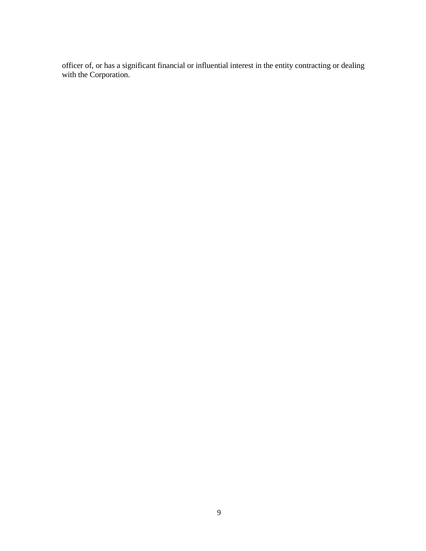officer of, or has a significant financial or influential interest in the entity contracting or dealing with the Corporation.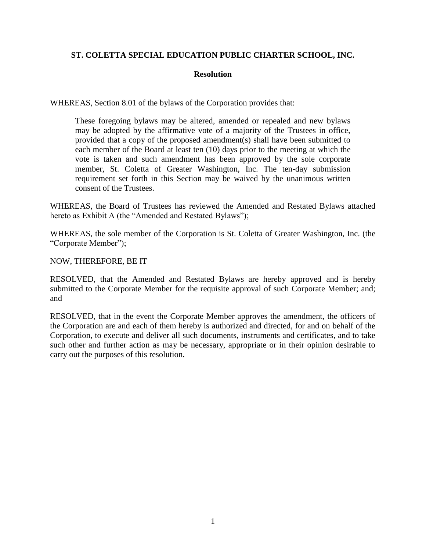# **ST. COLETTA SPECIAL EDUCATION PUBLIC CHARTER SCHOOL, INC.**

## **Resolution**

WHEREAS, Section 8.01 of the bylaws of the Corporation provides that:

These foregoing bylaws may be altered, amended or repealed and new bylaws may be adopted by the affirmative vote of a majority of the Trustees in office, provided that a copy of the proposed amendment(s) shall have been submitted to each member of the Board at least ten (10) days prior to the meeting at which the vote is taken and such amendment has been approved by the sole corporate member, St. Coletta of Greater Washington, Inc. The ten-day submission requirement set forth in this Section may be waived by the unanimous written consent of the Trustees.

WHEREAS, the Board of Trustees has reviewed the Amended and Restated Bylaws attached hereto as Exhibit A (the "Amended and Restated Bylaws");

WHEREAS, the sole member of the Corporation is St. Coletta of Greater Washington, Inc. (the "Corporate Member");

NOW, THEREFORE, BE IT

RESOLVED, that the Amended and Restated Bylaws are hereby approved and is hereby submitted to the Corporate Member for the requisite approval of such Corporate Member; and; and

RESOLVED, that in the event the Corporate Member approves the amendment, the officers of the Corporation are and each of them hereby is authorized and directed, for and on behalf of the Corporation, to execute and deliver all such documents, instruments and certificates, and to take such other and further action as may be necessary, appropriate or in their opinion desirable to carry out the purposes of this resolution.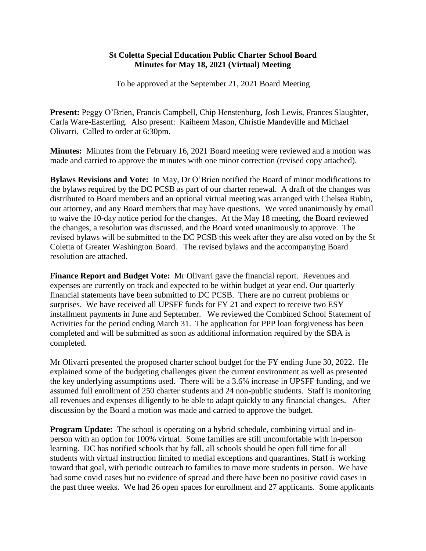## **St Coletta Special Education Public Charter School Board Minutes for May 18, 2021 (Virtual) Meeting**

To be approved at the September 21, 2021 Board Meeting

**Present:** Peggy O'Brien, Francis Campbell, Chip Henstenburg, Josh Lewis, Frances Slaughter, Carla Ware-Easterling. Also present: Kaiheem Mason, Christie Mandeville and Michael Olivarri. Called to order at 6:30pm.

**Minutes:** Minutes from the February 16, 2021 Board meeting were reviewed and a motion was made and carried to approve the minutes with one minor correction (revised copy attached).

**Bylaws Revisions and Vote:** In May, Dr O'Brien notified the Board of minor modifications to the bylaws required by the DC PCSB as part of our charter renewal. A draft of the changes was distributed to Board members and an optional virtual meeting was arranged with Chelsea Rubin, our attorney, and any Board members that may have questions. We voted unanimously by email to waive the 10-day notice period for the changes. At the May 18 meeting, the Board reviewed the changes, a resolution was discussed, and the Board voted unanimously to approve. The revised bylaws will be submitted to the DC PCSB this week after they are also voted on by the St Coletta of Greater Washington Board. The revised bylaws and the accompanying Board resolution are attached.

**Finance Report and Budget Vote:** Mr Olivarri gave the financial report. Revenues and expenses are currently on track and expected to be within budget at year end. Our quarterly financial statements have been submitted to DC PCSB. There are no current problems or surprises. We have received all UPSFF funds for FY 21 and expect to receive two ESY installment payments in June and September. We reviewed the Combined School Statement of Activities for the period ending March 31. The application for PPP loan forgiveness has been completed and will be submitted as soon as additional information required by the SBA is completed.

Mr Olivarri presented the proposed charter school budget for the FY ending June 30, 2022. He explained some of the budgeting challenges given the current environment as well as presented the key underlying assumptions used. There will be a 3.6% increase in UPSFF funding, and we assumed full enrollment of 250 charter students and 24 non-public students. Staff is monitoring all revenues and expenses diligently to be able to adapt quickly to any financial changes. After discussion by the Board a motion was made and carried to approve the budget.

**Program Update:** The school is operating on a hybrid schedule, combining virtual and inperson with an option for 100% virtual. Some families are still uncomfortable with in-person learning. DC has notified schools that by fall, all schools should be open full time for all students with virtual instruction limited to medial exceptions and quarantines. Staff is working toward that goal, with periodic outreach to families to move more students in person. We have had some covid cases but no evidence of spread and there have been no positive covid cases in the past three weeks. We had 26 open spaces for enrollment and 27 applicants. Some applicants